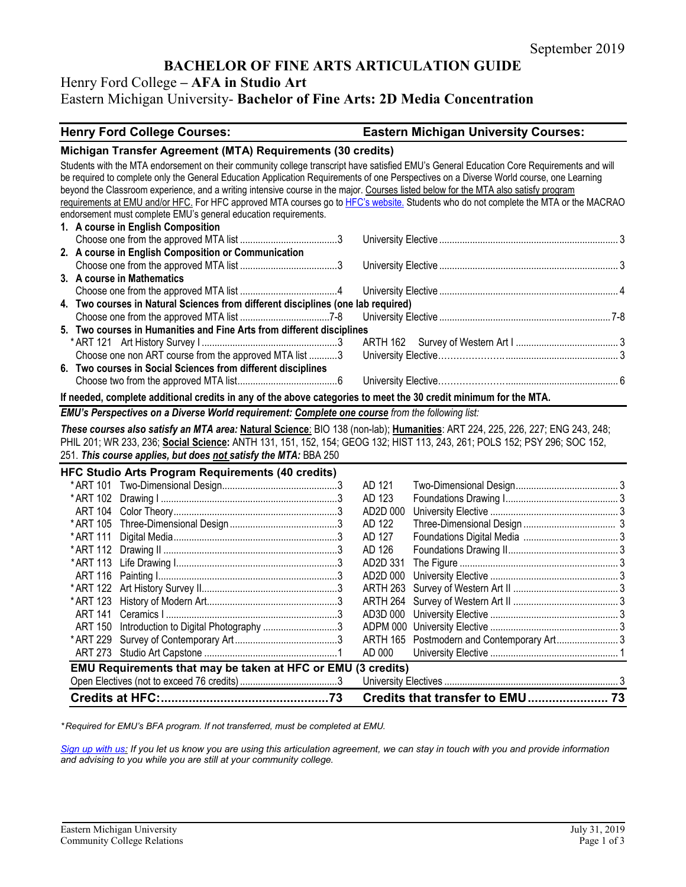# **BACHELOR OF FINE ARTS ARTICULATION GUIDE**

# Henry Ford College **– AFA in Studio Art**

# Eastern Michigan University- **Bachelor of Fine Arts: 2D Media Concentration**

### **Henry Ford College Courses: Eastern Michigan University Courses:**

#### **Michigan Transfer Agreement (MTA) Requirements (30 credits)** Students with the MTA endorsement on their community college transcript have satisfied EMU's General Education Core Requirements and will be required to complete only the General Education Application Requirements of one Perspectives on a Diverse World course, one Learning beyond the Classroom experience, and a writing intensive course in the major. Courses listed below for the MTA also satisfy program requirements at EMU and/or HFC. For HFC approved MTA courses go t[o HFC's website.](https://www.hfcc.edu/registration-and-records/mta) Students who do not complete the MTA or the MACRAO endorsement must complete EMU's general education requirements. **1. A course in English Composition** Choose one from the approved MTA list ......................................3 University Elective ...................................................................... 3 **2. A course in English Composition or Communication** Choose one from the approved MTA list ......................................3 University Elective ...................................................................... 3 **3. A course in Mathematics** Choose one from the approved MTA list ......................................4 University Elective ...................................................................... 4 **4. Two courses in Natural Sciences from different disciplines (one lab required)** Choose one from the approved MTA list ...................................7-8 University Elective ................................................................... 7-8 **5. Two courses in Humanities and Fine Arts from different disciplines** \* ART 121 Art History Survey I .....................................................3 ARTH 162 Survey of Western Art I ........................................ 3 Choose one non ART course from the approved MTA list ...........3 University Elective…………………............................................. 3 **6. Two courses in Social Sciences from different disciplines** Choose two from the approved MTA list.......................................6 University Elective…………………............................................. 6 **If needed, complete additional credits in any of the above categories to meet the 30 credit minimum for the MTA.** *EMU's Perspectives on a Diverse World requirement: Complete one course from the following list: These courses also satisfy an MTA area:* **Natural Science**: BIO 138 (non-lab); **Humanities**: ART 224, 225, 226, 227; ENG 243, 248; PHIL 201; WR 233, 236; **Social Science:** ANTH 131, 151, 152, 154; GEOG 132; HIST 113, 243, 261; POLS 152; PSY 296; SOC 152, 251. *This course applies, but does not satisfy the MTA:* BBA 250 **HFC Studio Arts Program Requirements (40 credits)** \* ART 101 Two-Dimensional Design.............................................3 AD 121 Two-Dimensional Design........................................ 3 \* ART 102 Drawing I .....................................................................3 AD 123 Foundations Drawing I............................................ 3 ART 104 Color Theory................................................................3 AD2D 000 University Elective .................................................. 3 \* ART 105 Three-Dimensional Design..........................................3 AD 122 Three-Dimensional Design .................................... 3 \* ART 111 Digital Media................................................................3 AD 127 Foundations Digital Media ..................................... 3 \* ART 112 Drawing II ....................................................................3 AD 126 Foundations Drawing II........................................... 3 \*ART 113 Life Drawing I...............................................................3 AD2D 331 The Figure .............................................................. 3 ART 116 Painting I......................................................................3 AD2D 000 University Elective .................................................. 3 \* ART 122 Art History Survey II.....................................................3 ARTH 263 Survey of Western Art II ......................................... 3 \* ART 123 History of Modern Art...................................................3 ARTH 264 Survey of Western Art II ......................................... 3 ART 141 Ceramics I ...................................................................3 AD3D 000 University Elective .................................................. 3 ART 150 Introduction to Digital Photography .............................3 ADPM 000 University Elective .................................................. 3 \* ART 229 Survey of Contemporary Art........................................3 ARTH 165 Postmodern and Contemporary Art........................ 3 ART 273 Studio Art Capstone ....................................................1 AD 000 University Elective .................................................. 1 **EMU Requirements that may be taken at HFC or EMU (3 credits)** Open Electives (not to exceed 76 credits)......................................3 University Electives .................................................................... 3 **Credits at HFC:................................................73 Credits that transfer to EMU....................... 73**

*\* Required for EMU's BFA program. If not transferred, must be completed at EMU.* 

*[Sign up with us:](https://www.emich.edu/ccr/articulation-agreements/signup.php) If you let us know you are using this articulation agreement, we can stay in touch with you and provide information and advising to you while you are still at your community college.*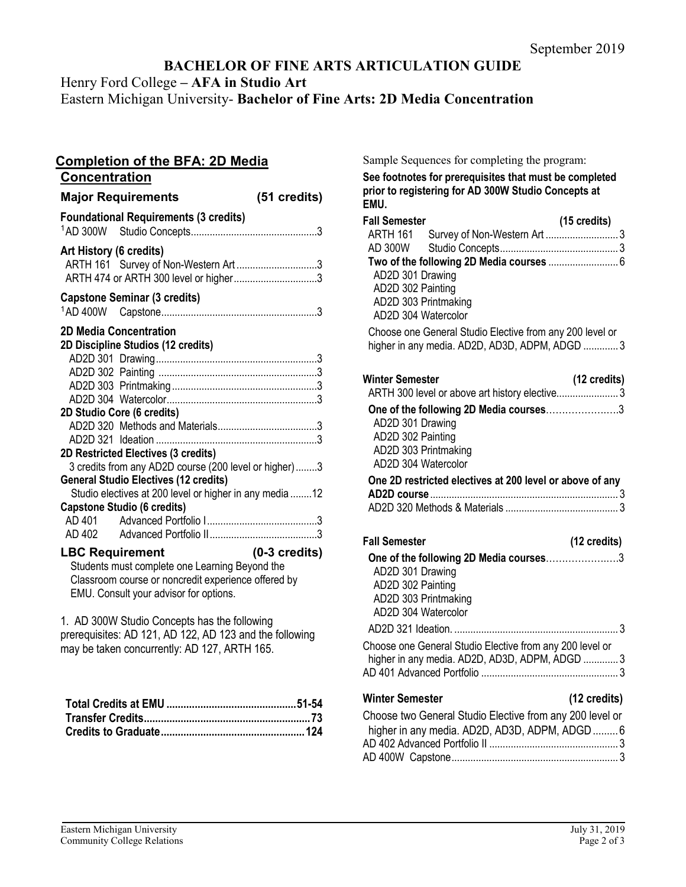# **BACHELOR OF FINE ARTS ARTICULATION GUIDE**

Henry Ford College **– AFA in Studio Art**

Eastern Michigan University- **Bachelor of Fine Arts: 2D Media Concentration**

| <b>Completion of the BFA: 2D Media</b><br>Concentration                                                                                                                                                                                                                                                                                                      |                         |  |
|--------------------------------------------------------------------------------------------------------------------------------------------------------------------------------------------------------------------------------------------------------------------------------------------------------------------------------------------------------------|-------------------------|--|
| <b>Major Requirements</b>                                                                                                                                                                                                                                                                                                                                    | (51 credits)            |  |
| <b>Foundational Requirements (3 credits)</b>                                                                                                                                                                                                                                                                                                                 |                         |  |
| Art History (6 credits)<br>ARTH 161 Survey of Non-Western Art3<br>ARTH 474 or ARTH 300 level or higher3                                                                                                                                                                                                                                                      |                         |  |
| <b>Capstone Seminar (3 credits)</b>                                                                                                                                                                                                                                                                                                                          |                         |  |
| <b>2D Media Concentration</b><br>2D Discipline Studios (12 credits)<br>2D Studio Core (6 credits)<br>2D Restricted Electives (3 credits)<br>3 credits from any AD2D course (200 level or higher)3<br><b>General Studio Electives (12 credits)</b><br>Studio electives at 200 level or higher in any media 12<br><b>Capstone Studio (6 credits)</b><br>AD 401 |                         |  |
| <b>LBC Requirement</b><br>Students must complete one Learning Beyond the<br>Classroom course or noncredit experience offered by<br>EMU. Consult your advisor for options.<br>1. AD 300W Studio Concepts has the following                                                                                                                                    | $(0-3 \text{ credits})$ |  |
| prerequisites: AD 121, AD 122, AD 123 and the following<br>may be taken concurrently: AD 127, ARTH 165.                                                                                                                                                                                                                                                      |                         |  |

Sample Sequences for completing the program:

**See footnotes for prerequisites that must be completed prior to registering for AD 300W Studio Concepts at EMU.**

| <b>Fall Semester</b>                                     | (15 credits) |
|----------------------------------------------------------|--------------|
|                                                          |              |
|                                                          |              |
|                                                          |              |
| AD2D 301 Drawing                                         |              |
| AD2D 302 Painting                                        |              |
| AD2D 303 Printmaking                                     |              |
| AD2D 304 Watercolor                                      |              |
| Choose one General Studio Elective from any 200 level or |              |
| higher in any media. AD2D, AD3D, ADPM, ADGD  3           |              |
| <b>Winter Semester</b>                                   | (12 credits) |
| ARTH 300 level or above art history elective 3           |              |
| One of the following 2D Media courses3                   |              |
| AD2D 301 Drawing                                         |              |
| AD2D 302 Painting                                        |              |
| AD2D 303 Printmaking                                     |              |
| AD2D 304 Watercolor                                      |              |
| One 2D restricted electives at 200 level or above of any |              |
|                                                          |              |
|                                                          |              |
| <b>Fall Semester</b>                                     | (12 credits) |
| One of the following 2D Media courses3                   |              |
| AD2D 301 Drawing                                         |              |
| AD2D 302 Painting                                        |              |
| AD2D 303 Printmaking                                     |              |
| AD2D 304 Watercolor                                      |              |
|                                                          |              |
| Choose one General Studio Elective from any 200 level or |              |
| higher in any media. AD2D, AD3D, ADPM, ADGD  3           |              |
|                                                          |              |
| <b>Winter Semester</b>                                   | (12 credits) |
| Choose two General Studio Elective from any 200 level or |              |
| higher in any media. AD2D, AD3D, ADPM, ADGD6             |              |
|                                                          |              |
|                                                          |              |